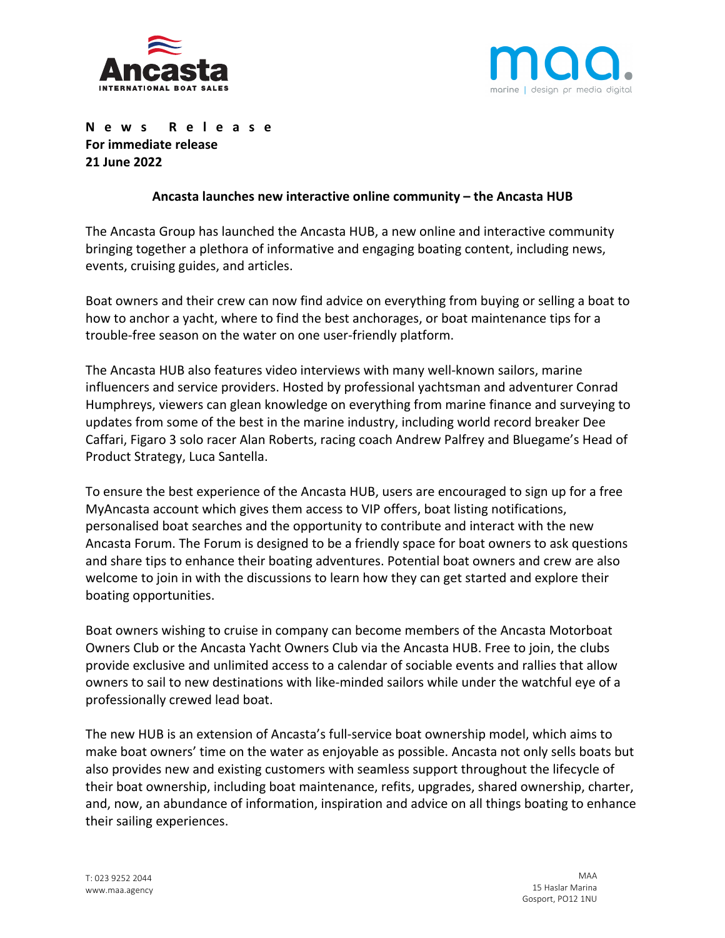



**News Release For immediate release 21 June 2022**

## **Ancasta launches new interactive online community – the Ancasta HUB**

The Ancasta Group has launched the Ancasta HUB, a new online and interactive community bringing together a plethora of informative and engaging boating content, including news, events, cruising guides, and articles.

Boat owners and their crew can now find advice on everything from buying or selling a boat to how to anchor a yacht, where to find the best anchorages, or boat maintenance tips for a trouble-free season on the water on one user-friendly platform.

The Ancasta HUB also features video interviews with many well-known sailors, marine influencers and service providers. Hosted by professional yachtsman and adventurer Conrad Humphreys, viewers can glean knowledge on everything from marine finance and surveying to updates from some of the best in the marine industry, including world record breaker Dee Caffari, Figaro 3 solo racer Alan Roberts, racing coach Andrew Palfrey and Bluegame's Head of Product Strategy, Luca Santella.

To ensure the best experience of the Ancasta HUB, users are encouraged to sign up for a free MyAncasta account which gives them access to VIP offers, boat listing notifications, personalised boat searches and the opportunity to contribute and interact with the new Ancasta Forum. The Forum is designed to be a friendly space for boat owners to ask questions and share tips to enhance their boating adventures. Potential boat owners and crew are also welcome to join in with the discussions to learn how they can get started and explore their boating opportunities.

Boat owners wishing to cruise in company can become members of the Ancasta Motorboat Owners Club or the Ancasta Yacht Owners Club via the Ancasta HUB. Free to join, the clubs provide exclusive and unlimited access to a calendar of sociable events and rallies that allow owners to sail to new destinations with like-minded sailors while under the watchful eye of a professionally crewed lead boat.

The new HUB is an extension of Ancasta's full-service boat ownership model, which aims to make boat owners' time on the water as enjoyable as possible. Ancasta not only sells boats but also provides new and existing customers with seamless support throughout the lifecycle of their boat ownership, including boat maintenance, refits, upgrades, shared ownership, charter, and, now, an abundance of information, inspiration and advice on all things boating to enhance their sailing experiences.